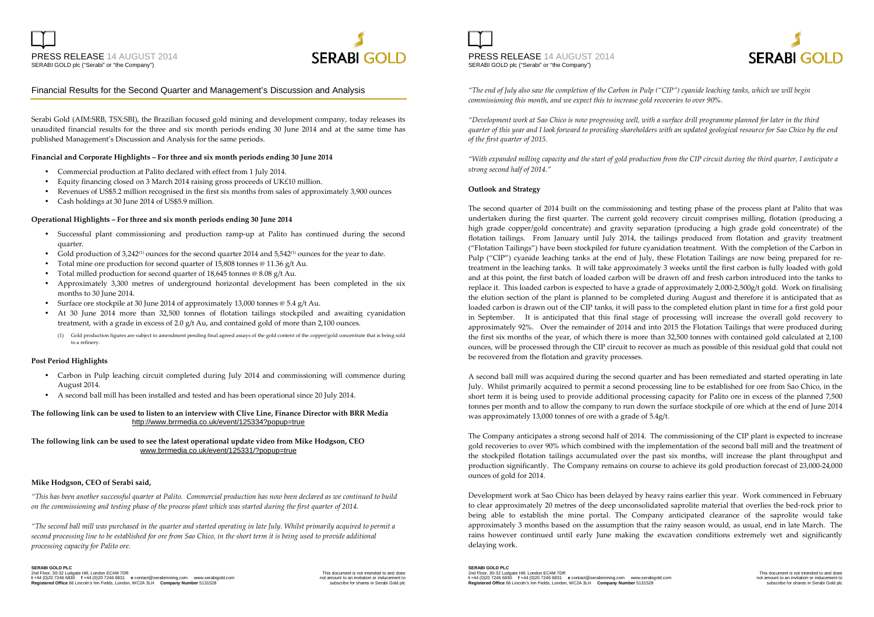



#### Financial Results for the Second Quarter and Management's Discussion and Analysis

Serabi Gold (AIM:SRB, TSX:SBI), the Brazilian focused gold mining and development company, today releases its unaudited financial results for the three and six month periods ending 30 June 2014 and at the same time has published Management's Discussion and Analysis for the same periods.

#### **Financial and Corporate Highlights – For three and six month periods ending 30 June 2014**

- Commercial production at Palito declared with effect from 1 July 2014.
- •Equity financing closed on 3 March 2014 raising gross proceeds of UK£10 million.
- •Revenues of US\$5.2 million recognised in the first six months from sales of approximately 3,900 ounces
- •Cash holdings at 30 June 2014 of US\$5.9 million.

#### **Operational Highlights – For three and six month periods ending 30 June 2014**

- Successful plant commissioning and production ramp-up at Palito has continued during the second quarter.
- •Gold production of 3,242<sup>(1)</sup> ounces for the second quarter 2014 and 5,542<sup>(1)</sup> ounces for the year to date.
- •Total mine ore production for second quarter of 15,808 tonnes @ 11.36 g/t Au.
- •Total milled production for second quarter of 18,645 tonnes @ 8.08 g/t Au.
- • Approximately 3,300 metres of underground horizontal development has been completed in the six months to 30 June 2014.
- Surface ore stockpile at 30 June 2014 of approximately 13,000 tonnes @ 5.4 g/t Au. •
- • At 30 June 2014 more than 32,500 tonnes of flotation tailings stockpiled and awaiting cyanidation treatment, with a grade in excess of 2.0 g/t Au, and contained gold of more than 2,100 ounces.
	- (1) Gold production figures are subject to amendment pending final agreed assays of the gold content of the copper/gold concentrate that is being sold to a refinery.

#### **Post Period Highlights**

- Carbon in Pulp leaching circuit completed during July 2014 and commissioning will commence during August 2014.
- •A second ball mill has been installed and tested and has been operational since 20 July 2014.

#### **The following link can be used to listen to an interview with Clive Line, Finance Director with BRR Media**  http://www.brrmedia.co.uk/event/125334?popup=true

#### **The following link can be used to see the latest operational update video from Mike Hodgson, CEO**www.brrmedia.co.uk/event/125331/?popup=true

#### **Mike Hodgson, CEO of Serabi said,**

*"This has been another successful quarter at Palito. Commercial production has now been declared as we continued to build on the commissioning and testing phase of the process plant which was started during the first quarter of 2014.* 

*"The second ball mill was purchased in the quarter and started operating in late July. Whilst primarily acquired to permit a second processing line to be established for ore from Sao Chico, in the short term it is being used to provide additional processing capacity for Palito ore.* 

**SERABI GOLD PLC** 2nd Floor, 30-32 Ludgate Hill, London EC4M 7DR<br>1 +44 (0)20 7246 6830 f+44 (0)20 7246 6831 e contact @serabimining.com www.serabigold.com mis amount to an invitation or inducement to **Registered Office** 66 Lincoln's Inn Fields, London, WC2A 3LH **Company Number** 5131528

PRESS RELEASE 14 AUGUST 2014 SERABI GOLD plc ("Serabi" or "the Company")



*"The end of July also saw the completion of the Carbon in Pulp ("CIP") cyanide leaching tanks, which we will begin commissioning this month, and we expect this to increase gold recoveries to over 90%.* 

*"Development work at Sao Chico is now progressing well, with a surface drill programme planned for later in the third quarter of this year and I look forward to providing shareholders with an updated geological resource for Sao Chico by the end of the first quarter of 2015.* 

*"With expanded milling capacity and the start of gold production from the CIP circuit during the third quarter, I anticipate a strong second half of 2014."* 

#### **Outlook and Strategy**

The second quarter of 2014 built on the commissioning and testing phase of the process plant at Palito that was undertaken during the first quarter. The current gold recovery circuit comprises milling, flotation (producing a high grade copper/gold concentrate) and gravity separation (producing a high grade gold concentrate) of the flotation tailings. From January until July 2014, the tailings produced from flotation and gravity treatment ("Flotation Tailings") have been stockpiled for future cyanidation treatment. With the completion of the Carbon in Pulp ("CIP") cyanide leaching tanks at the end of July, these Flotation Tailings are now being prepared for retreatment in the leaching tanks. It will take approximately 3 weeks until the first carbon is fully loaded with gold and at this point, the first batch of loaded carbon will be drawn off and fresh carbon introduced into the tanks to replace it. This loaded carbon is expected to have a grade of approximately 2,000-2,500g/t gold. Work on finalising the elution section of the plant is planned to be completed during August and therefore it is anticipated that as loaded carbon is drawn out of the CIP tanks, it will pass to the completed elution plant in time for a first gold pour in September. It is anticipated that this final stage of processing will increase the overall gold recovery to approximately 92%. Over the remainder of 2014 and into 2015 the Flotation Tailings that were produced during the first six months of the year, of which there is more than 32,500 tonnes with contained gold calculated at 2,100 ounces, will be processed through the CIP circuit to recover as much as possible of this residual gold that could not be recovered from the flotation and gravity processes.

A second ball mill was acquired during the second quarter and has been remediated and started operating in late July. Whilst primarily acquired to permit a second processing line to be established for ore from Sao Chico, in the short term it is being used to provide additional processing capacity for Palito ore in excess of the planned 7,500 tonnes per month and to allow the company to run down the surface stockpile of ore which at the end of June 2014 was approximately 13,000 tonnes of ore with a grade of 5.4g/t.

The Company anticipates a strong second half of 2014. The commissioning of the CIP plant is expected to increase gold recoveries to over 90% which combined with the implementation of the second ball mill and the treatment of the stockpiled flotation tailings accumulated over the past six months, will increase the plant throughput and production significantly. The Company remains on course to achieve its gold production forecast of 23,000-24,000 ounces of gold for 2014.

Development work at Sao Chico has been delayed by heavy rains earlier this year. Work commenced in February to clear approximately 20 metres of the deep unconsolidated saprolite material that overlies the bed-rock prior to being able to establish the mine portal. The Company anticipated clearance of the saprolite would take approximately 3 months based on the assumption that the rainy season would, as usual, end in late March. The rains however continued until early June making the excavation conditions extremely wet and significantly delaying work.

**SERABI GOLD PLC** 2nd Floor, 30-32 Ludgate Hill, London EC4M 7DR: This Man and does the Man and docs. This document is not intended to and does<br>t +44 (0)20 7246 6830 f +44 (0)20 7246 6831 e contact@serabimining.com www.serabigold.com **Registered Office** 66 Lincoln's Inn Fields, London, WC2A 3LH **Company Number** 5131528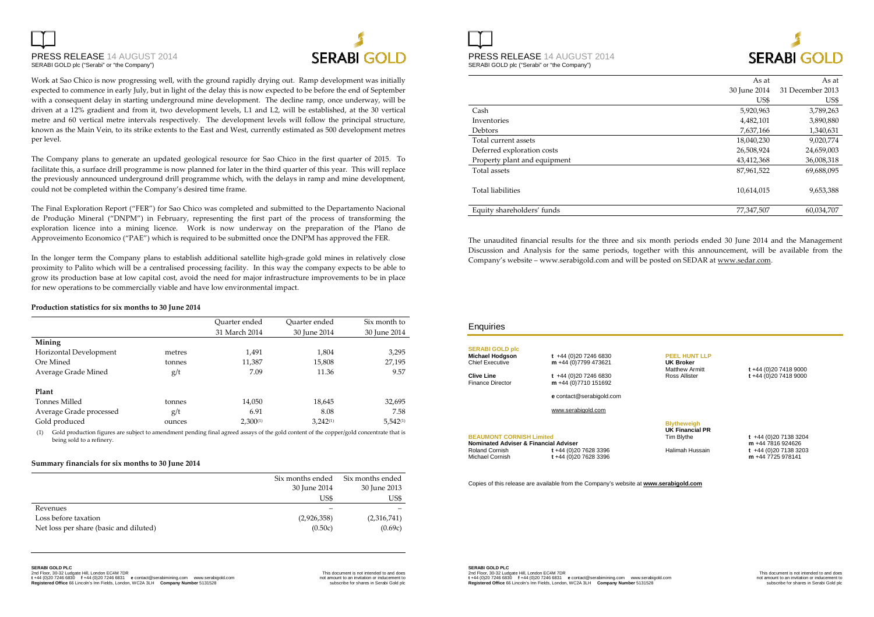# PRESS RELEASE 14 AUGUST 2014SERABI GOLD plc ("Serabi" or "the Company")



Work at Sao Chico is now progressing well, with the ground rapidly drying out. Ramp development was initially expected to commence in early July, but in light of the delay this is now expected to be before the end of September with a consequent delay in starting underground mine development. The decline ramp, once underway, will be driven at a 12% gradient and from it, two development levels, L1 and L2, will be established, at the 30 vertical metre and 60 vertical metre intervals respectively. The development levels will follow the principal structure, known as the Main Vein, to its strike extents to the East and West, currently estimated as 500 development metres per level.

The Company plans to generate an updated geological resource for Sao Chico in the first quarter of 2015. To facilitate this, a surface drill programme is now planned for later in the third quarter of this year. This will replace the previously announced underground drill programme which, with the delays in ramp and mine development, could not be completed within the Company's desired time frame.

The Final Exploration Report ("FER") for Sao Chico was completed and submitted to the Departamento Nacional de Produção Mineral ("DNPM") in February, representing the first part of the process of transforming the exploration licence into a mining licence. Work is now underway on the preparation of the Plano de Approveimento Economico ("PAE") which is required to be submitted once the DNPM has approved the FER.

In the longer term the Company plans to establish additional satellite high-grade gold mines in relatively close proximity to Palito which will be a centralised processing facility. In this way the company expects to be able to grow its production base at low capital cost, avoid the need for major infrastructure improvements to be in place for new operations to be commercially viable and have low environmental impact.

#### **Production statistics for six months to 30 June 2014**

|                         |        | Quarter ended | Quarter ended | Six month to  |
|-------------------------|--------|---------------|---------------|---------------|
|                         |        | 31 March 2014 | 30 June 2014  | 30 June 2014  |
| Mining                  |        |               |               |               |
| Horizontal Development  | metres | 1,491         | 1,804         | 3,295         |
| Ore Mined               | tonnes | 11,387        | 15,808        | 27,195        |
| Average Grade Mined     | g/t    | 7.09          | 11.36         | 9.57          |
| Plant                   |        |               |               |               |
| Tonnes Milled           | tonnes | 14,050        | 18,645        | 32,695        |
| Average Grade processed | g/t    | 6.91          | 8.08          | 7.58          |
| Gold produced           | ounces | $2,300^{(1)}$ | $3.242^{(1)}$ | $5,542^{(1)}$ |

(1) Gold production figures are subject to amendment pending final agreed assays of the gold content of the copper/gold concentrate that is being sold to a refinery.

#### **Summary financials for six months to 30 June 2014**

|                                        | Six months ended | Six months ended |
|----------------------------------------|------------------|------------------|
|                                        | 30 June 2014     | 30 June 2013     |
|                                        | US\$             | US\$             |
| Revenues                               |                  |                  |
| Loss before taxation                   | (2,926,358)      | (2,316,741)      |
| Net loss per share (basic and diluted) | (0.50c)          | (0.69c)          |

**SERABI GOLD PLC** 

nd Floor, 30-32 Ludgate Hill, London EC4M 7DR و Contact Schedule and does (the Schedule and does on the Schedu<br>1 Heral (2012 1444 (2012 1724 6831) e Contact ® serabimining.com www.serabigold.com and the Schedule of the

PRESS RELEASE 14 AUGUST 2014 SERABI GOLD plc ("Serabi" or "the Company")

# **SERABLGOLD**

|                              | As at        | As at            |
|------------------------------|--------------|------------------|
|                              | 30 June 2014 | 31 December 2013 |
|                              | US\$         | US\$             |
| Cash                         | 5,920,963    | 3,789,263        |
| Inventories                  | 4,482,101    | 3,890,880        |
| Debtors                      | 7,637,166    | 1,340,631        |
| Total current assets         | 18,040,230   | 9,020,774        |
| Deferred exploration costs   | 26,508,924   | 24,659,003       |
| Property plant and equipment | 43,412,368   | 36,008,318       |
| Total assets                 | 87,961,522   | 69,688,095       |
| <b>Total liabilities</b>     | 10,614,015   | 9,653,388        |
| Equity shareholders' funds   | 77,347,507   | 60,034,707       |
|                              |              |                  |

The unaudited financial results for the three and six month periods ended 30 June 2014 and the Management Discussion and Analysis for the same periods, together with this announcement, will be available from the Company's website – www.serabigold.com and will be posted on SEDAR at www.sedar.com.

| Enquiries                                                                                                                |                                                                                             |                                                                                    |                                                                                        |
|--------------------------------------------------------------------------------------------------------------------------|---------------------------------------------------------------------------------------------|------------------------------------------------------------------------------------|----------------------------------------------------------------------------------------|
| <b>SERABI GOLD plc</b><br><b>Michael Hodgson</b><br>Chief Executive<br>Clive Line<br><b>Finance Director</b>             | $t +44(0)2072466830$<br>m +44 (0)7799 473621<br>$t +44(0)2072466830$<br>m+44 (0)7710 151692 | <b>PEEL HUNT LLP</b><br><b>UK Broker</b><br><b>Matthew Armitt</b><br>Ross Allister | t +44 (0) 20 7418 9000<br>t+44 (0)20 7418 9000                                         |
|                                                                                                                          | e contact@serabigold.com<br>www.serabigold.com                                              |                                                                                    |                                                                                        |
| <b>BEAUMONT CORNISH Limited</b><br><b>Nominated Adviser &amp; Financial Adviser</b><br>Roland Cornish<br>Michael Cornish | t+44 (0)20 7628 3396<br>t+44 (0)20 7628 3396                                                | <b>Blytheweigh</b><br><b>UK Financial PR</b><br>Tim Blythe<br>Halimah Hussain      | $t +44(0)2071383204$<br>m +44 7816 924626<br>$t +44(0)2071383203$<br>m +44 7725 978141 |
|                                                                                                                          | Copies of this release are available from the Company's website at www.serabigold.com       |                                                                                    |                                                                                        |

### **SERABI GOLD PLC**

2nd Floor, 30-32 Ludgate Hill, London EC4M 7DR: This Man and does the Man and docs. This document is not intended to and does<br>t +44 (0)20 7246 6830 f +44 (0)20 7246 6831 e contact@serabimining.com www.serabigold.com **Registered Office** 66 Lincoln's Inn Fields, London, WC2A 3LH **Company Number** 5131528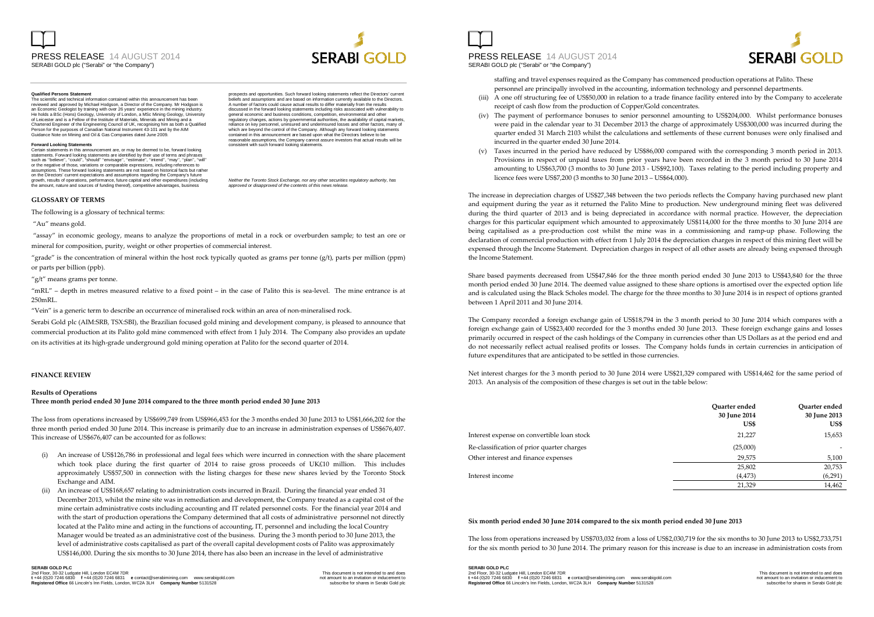#### **Qualified Persons Statement**

 The scientific and technical information contained within this announcement has been reviewed and approved by Michael Hodgson, a Director of the Company. Mr Hodgson is an Economic Geologist by training with over 26 years' experience in the mining industry. He holds a BSc (Hons) Geology, University of London, a MSc Mining Geology, University of Leicester and is a Fellow of the Institute of Materials, Minerals and Mining and a Chartered Engineer of the Engineering Council of UK, recognising him as both a Qualified<br>Person for the purposes of Canadian National Instrument 43-101 and by the AIM Guidance Note on Mining and Oil & Gas Companies dated June 2009.

#### **Forward Looking Statements**

 Certain statements in this announcement are, or may be deemed to be, forward looking statements. Forward looking statements are identified by their use of terms and phrase such as ''believe'', ''could'', "should" ''envisage'', ''estimate'', ''intend'', ''may'', ''plan'', ''will'' or the negative of those, variations or comparable expressions, including references to assumptions. These forward looking statements are not based on historical facts but rather on the Directors' current expectations and assumptions regarding the Company's future growth, results of operations, performance, future capital and other expenditures (including the amount, nature and sources of funding thereof), competitive advantages, business

#### **GLOSSARY OF TERMS**

The following is a glossary of technical terms:

"Au" means gold.

 "assay" in economic geology, means to analyze the proportions of metal in a rock or overburden sample; to test an ore or mineral for composition, purity, weight or other properties of commercial interest.

"grade" is the concentration of mineral within the host rock typically quoted as grams per tonne  $(g/t)$ , parts per million (ppm) or parts per billion (ppb).

#### "g/t" means grams per tonne.

"mRL" – depth in metres measured relative to a fixed point – in the case of Palito this is sea-level. The mine entrance is at 250mRL.

"Vein" is a generic term to describe an occurrence of mineralised rock within an area of non-mineralised rock.

Serabi Gold plc (AIM:SRB, TSX:SBI), the Brazilian focused gold mining and development company, is pleased to announce that commercial production at its Palito gold mine commenced with effect from 1 July 2014. The Company also provides an update on its activities at its high-grade underground gold mining operation at Palito for the second quarter of 2014.

#### **FINANCE REVIEW**

#### **Results of Operations**

#### **Three month period ended 30 June 2014 compared to the three month period ended 30 June 2013**

The loss from operations increased by US\$699,749 from US\$966,453 for the 3 months ended 30 June 2013 to US\$1,666,202 for the three month period ended 30 June 2014. This increase is primarily due to an increase in administration expenses of US\$676,407. This increase of US\$676,407 can be accounted for as follows:

- (i) An increase of US\$126,786 in professional and legal fees which were incurred in connection with the share placement which took place during the first quarter of 2014 to raise gross proceeds of UK£10 million. This includes approximately US\$57,500 in connection with the listing charges for these new shares levied by the Toronto Stock Exchange and AIM.
- (ii) An increase of US\$168,657 relating to administration costs incurred in Brazil. During the financial year ended 31 December 2013, whilst the mine site was in remediation and development, the Company treated as a capital cost of the mine certain administrative costs including accounting and IT related personnel costs. For the financial year 2014 and with the start of production operations the Company determined that all costs of administrative personnel not directly located at the Palito mine and acting in the functions of accounting, IT, personnel and including the local Country Manager would be treated as an administrative cost of the business. During the 3 month period to 30 June 2013, the level of administrative costs capitalised as part of the overall capital development costs of Palito was approximately US\$146,000. During the six months to 30 June 2014, there has also been an increase in the level of administrative

## **SERABI GOLD PLC**

2nd Floor, 30-32 Ludgate Hill, London EC4M 7DR<br>1 +44 (0)20 7246 6830 f+44 (0)20 7246 6831 e contact @serabimining.com www.serabigold.com mis amount to an invitation or inducement to **Registered Office** 66 Lincoln's Inn Fields, London, WC2A 3LH **Company Number** 5131528

prospects and opportunities. Such forward looking statements reflect the Directors' current beliefs and assumptions and are based on information currently available to the Directors. A number of factors could cause actual results to differ materially from the results discussed in the forward looking statements including risks associated with vulnerability to general economic and business conditions, competition, environmental and other regulatory changes, actions by governmental authorities, the availability of capital markets, reliance on key personnel, uninsured and underinsured losses and other factors, many of which are beyond the control of the Company. Although any forward looking statements contained in this announcement are based upon what the Directors believe to be reasonable assumptions, the Company cannot assure investors that actual results will be consistent with such forward looking statements.

**SERABLGOLD** 

Neither the Toronto Stock Exchange, nor any other securities regulatory authority, has approved or disapproved of the contents of this news release.

(iv)

- were paid in the calendar year to 31 December 2013 the charge of approximately US\$300,000 was incurred during the quarter ended 31 March 2103 whilst the calculations and settlements of these current bonuses were only finalised and incurred in the quarter ended 30 June 2014.
- Provisions in respect of unpaid taxes from prior years have been recorded in the 3 month period to 30 June 2014 amounting to US\$63,700 (3 months to 30 June 2013 - US\$92,100). Taxes relating to the period including property and licence fees were US\$7,200 (3 months to 30 June 2013 – US\$64,000).

The increase in depreciation charges of US\$27,348 between the two periods reflects the Company having purchased new plant and equipment during the year as it returned the Palito Mine to production. New underground mining fleet was delivered during the third quarter of 2013 and is being depreciated in accordance with normal practice. However, the depreciation charges for this particular equipment which amounted to approximately US\$114,000 for the three months to 30 June 2014 are being capitalised as a pre-production cost whilst the mine was in a commissioning and ramp-up phase. Following the declaration of commercial production with effect from 1 July 2014 the depreciation charges in respect of this mining fleet will be expensed through the Income Statement. Depreciation charges in respect of all other assets are already being expensed through the Income Statement.

Share based payments decreased from US\$47,846 for the three month period ended 30 June 2013 to US\$43,840 for the three month period ended 30 June 2014. The deemed value assigned to these share options is amortised over the expected option life and is calculated using the Black Scholes model. The charge for the three months to 30 June 2014 is in respect of options granted between 1 April 2011 and 30 June 2014.

The Company recorded a foreign exchange gain of US\$18,794 in the 3 month period to 30 June 2014 which compares with a foreign exchange gain of US\$23,400 recorded for the 3 months ended 30 June 2013. These foreign exchange gains and losses primarily occurred in respect of the cash holdings of the Company in currencies other than US Dollars as at the period end and do not necessarily reflect actual realised profits or losses. The Company holds funds in certain currencies in anticipation of future expenditures that are anticipated to be settled in those currencies.

Net interest charges for the 3 month period to 30 June 2014 were US\$21,329 compared with US\$14,462 for the same period of 2013. An analysis of the composition of these charges is set out in the table below:

|                                            | Ouarter ended<br>30 June 2014<br>US\$ | Ouarter ended<br>30 June 2013<br>US\$ |
|--------------------------------------------|---------------------------------------|---------------------------------------|
| Interest expense on convertible loan stock | 21,227                                | 15,653                                |
| Re-classification of prior quarter charges | (25,000)                              |                                       |
| Other interest and finance expenses        | 29,575                                | 5,100                                 |
|                                            | 25,802                                | 20,753                                |
| Interest income                            | (4, 473)                              | (6,291)                               |
|                                            | 21,329                                | 14,462                                |

#### **Six month period ended 30 June 2014 compared to the six month period ended 30 June 2013**

The loss from operations increased by US\$703,032 from a loss of US\$2,030,719 for the six months to 30 June 2013 to US\$2,733,751 for the six month period to 30 June 2014. The primary reason for this increase is due to an increase in administration costs from

### **SERABI GOLD PLC**

2nd Floor, 30-32 Ludgate Hill, London EC4M 7DR: This Man and does the Man and docs. This document is not intended to and does<br>t +44 (0)20 7246 6830 f +44 (0)20 7246 6831 e contact@serabimining.com www.serabigold.com **Registered Office** 66 Lincoln's Inn Fields, London, WC2A 3LH **Company Number** 5131528

# **SERABLGOLD**

staffing and travel expenses required as the Company has commenced production operations at Palito. These personnel are principally involved in the accounting, information technology and personnel departments.

- (iii) A one off structuring fee of US\$50,000 in relation to a trade finance facility entered into by the Company to accelerate receipt of cash flow from the production of Copper/Gold concentrates.
- The payment of performance bonuses to senior personnel amounting to US\$204,000. Whilst performance bonuses
- (v) Taxes incurred in the period have reduced by US\$86,000 compared with the corresponding 3 month period in 2013.

PRESS RELEASE 14 AUGUST 2014 SERABI GOLD plc ("Serabi" or "the Company")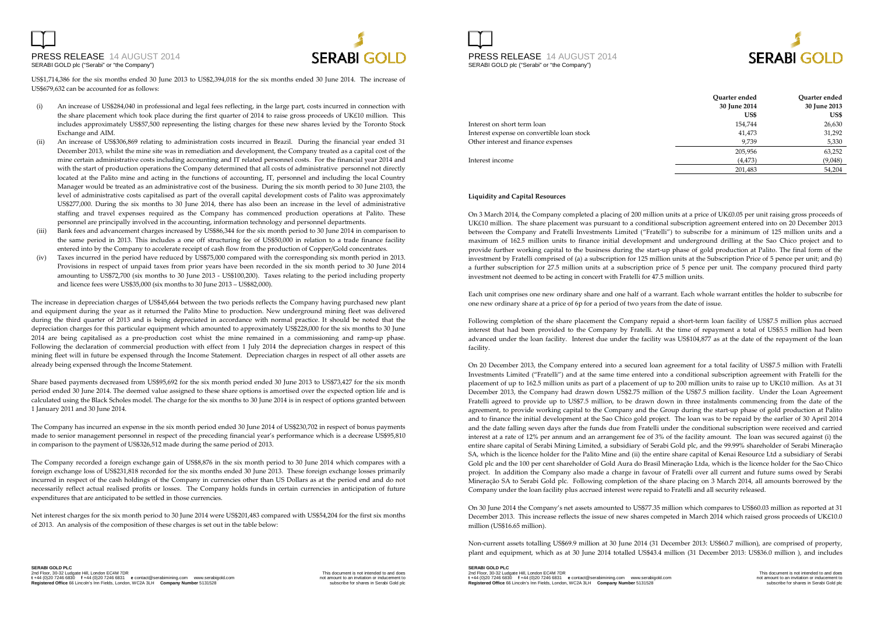



US\$1,714,386 for the six months ended 30 June 2013 to US\$2,394,018 for the six months ended 30 June 2014. The increase of US\$679,632 can be accounted for as follows:

- (i) An increase of US\$284,040 in professional and legal fees reflecting, in the large part, costs incurred in connection with the share placement which took place during the first quarter of 2014 to raise gross proceeds of UK£10 million. This includes approximately US\$57,500 representing the listing charges for these new shares levied by the Toronto Stock Exchange and AIM.
- (ii) An increase of US\$306,869 relating to administration costs incurred in Brazil. During the financial year ended 31 December 2013, whilst the mine site was in remediation and development, the Company treated as a capital cost of the mine certain administrative costs including accounting and IT related personnel costs. For the financial year 2014 and with the start of production operations the Company determined that all costs of administrative personnel not directly located at the Palito mine and acting in the functions of accounting, IT, personnel and including the local Country Manager would be treated as an administrative cost of the business. During the six month period to 30 June 2103, the level of administrative costs capitalised as part of the overall capital development costs of Palito was approximately US\$277,000. During the six months to 30 June 2014, there has also been an increase in the level of administrative staffing and travel expenses required as the Company has commenced production operations at Palito. These personnel are principally involved in the accounting, information technology and personnel departments.
- (iii) Bank fees and advancement charges increased by US\$86,344 for the six month period to 30 June 2014 in comparison to the same period in 2013. This includes a one off structuring fee of US\$50,000 in relation to a trade finance facility entered into by the Company to accelerate receipt of cash flow from the production of Copper/Gold concentrates.
- (iv) Taxes incurred in the period have reduced by US\$75,000 compared with the corresponding six month period in 2013. Provisions in respect of unpaid taxes from prior years have been recorded in the six month period to 30 June 2014 amounting to US\$72,700 (six months to 30 June 2013 - US\$100,200). Taxes relating to the period including property and licence fees were US\$35,000 (six months to 30 June 2013 – US\$82,000).

The increase in depreciation charges of US\$45,664 between the two periods reflects the Company having purchased new plant and equipment during the year as it returned the Palito Mine to production. New underground mining fleet was delivered during the third quarter of 2013 and is being depreciated in accordance with normal practice. It should be noted that the depreciation charges for this particular equipment which amounted to approximately US\$228,000 for the six months to 30 June 2014 are being capitalised as a pre-production cost whist the mine remained in a commissioning and ramp-up phase. Following the declaration of commercial production with effect from 1 July 2014 the depreciation charges in respect of this mining fleet will in future be expensed through the Income Statement. Depreciation charges in respect of all other assets are already being expensed through the Income Statement.

Share based payments decreased from US\$95,692 for the six month period ended 30 June 2013 to US\$73,427 for the six month period ended 30 June 2014. The deemed value assigned to these share options is amortised over the expected option life and is calculated using the Black Scholes model. The charge for the six months to 30 June 2014 is in respect of options granted between 1 January 2011 and 30 June 2014.

The Company has incurred an expense in the six month period ended 30 June 2014 of US\$230,702 in respect of bonus payments made to senior management personnel in respect of the preceding financial year's performance which is a decrease US\$95,810 in comparison to the payment of US\$326,512 made during the same period of 2013.

The Company recorded a foreign exchange gain of US\$8,876 in the six month period to 30 June 2014 which compares with a foreign exchange loss of US\$231,818 recorded for the six months ended 30 June 2013. These foreign exchange losses primarily incurred in respect of the cash holdings of the Company in currencies other than US Dollars as at the period end and do not necessarily reflect actual realised profits or losses. The Company holds funds in certain currencies in anticipation of future expenditures that are anticipated to be settled in those currencies.

Net interest charges for the six month period to 30 June 2014 were US\$201,483 compared with US\$54,204 for the first six months of 2013. An analysis of the composition of these charges is set out in the table below:





|                                            | Ouarter ended | Ouarter ended |
|--------------------------------------------|---------------|---------------|
|                                            | 30 June 2014  | 30 June 2013  |
|                                            | US\$          | US\$          |
| Interest on short term loan                | 154.744       | 26,630        |
| Interest expense on convertible loan stock | 41,473        | 31,292        |
| Other interest and finance expenses        | 9.739         | 5,330         |
|                                            | 205,956       | 63,252        |
| Interest income                            | (4, 473)      | (9,048)       |
|                                            | 201.483       | 54.204        |

#### **Liquidity and Capital Resources**

On 3 March 2014, the Company completed a placing of 200 million units at a price of UK£0.05 per unit raising gross proceeds of UK£10 million. The share placement was pursuant to a conditional subscription agreement entered into on 20 December 2013 between the Company and Fratelli Investments Limited ("Fratelli") to subscribe for a minimum of 125 million units and a maximum of 162.5 million units to finance initial development and underground drilling at the Sao Chico project and to provide further working capital to the business during the start-up phase of gold production at Palito. The final form of the investment by Fratelli comprised of (a) a subscription for 125 million units at the Subscription Price of 5 pence per unit; and (b) a further subscription for 27.5 million units at a subscription price of 5 pence per unit. The company procured third party investment not deemed to be acting in concert with Fratelli for 47.5 million units.

Each unit comprises one new ordinary share and one half of a warrant. Each whole warrant entitles the holder to subscribe for one new ordinary share at a price of 6p for a period of two years from the date of issue.

Following completion of the share placement the Company repaid a short-term loan facility of US\$7.5 million plus accrued interest that had been provided to the Company by Fratelli. At the time of repayment a total of US\$5.5 million had been advanced under the loan facility. Interest due under the facility was US\$104,877 as at the date of the repayment of the loan facility.

On 20 December 2013, the Company entered into a secured loan agreement for a total facility of US\$7.5 million with Fratelli Investments Limited ("Fratelli") and at the same time entered into a conditional subscription agreement with Fratelli for the placement of up to 162.5 million units as part of a placement of up to 200 million units to raise up to UK£10 million. As at 31 December 2013, the Company had drawn down US\$2.75 million of the US\$7.5 million facility. Under the Loan Agreement Fratelli agreed to provide up to US\$7.5 million, to be drawn down in three instalments commencing from the date of the agreement, to provide working capital to the Company and the Group during the start-up phase of gold production at Palito and to finance the initial development at the Sao Chico gold project. The loan was to be repaid by the earlier of 30 April 2014 and the date falling seven days after the funds due from Fratelli under the conditional subscription were received and carried interest at a rate of 12% per annum and an arrangement fee of 3% of the facility amount. The loan was secured against (i) the entire share capital of Serabi Mining Limited, a subsidiary of Serabi Gold plc, and the 99.99% shareholder of Serabi Mineraçăo SA, which is the licence holder for the Palito Mine and (ii) the entire share capital of Kenai Resource Ltd a subsidiary of Serabi Gold plc and the 100 per cent shareholder of Gold Aura do Brasil Mineraçăo Ltda, which is the licence holder for the Sao Chico project. In addition the Company also made a charge in favour of Fratelli over all current and future sums owed by Serabi Mineraçăo SA to Serabi Gold plc. Following completion of the share placing on 3 March 2014, all amounts borrowed by the Company under the loan facility plus accrued interest were repaid to Fratelli and all security released.

On 30 June 2014 the Company's net assets amounted to US\$77.35 million which compares to US\$60.03 million as reported at 31 December 2013. This increase reflects the issue of new shares competed in March 2014 which raised gross proceeds of UK£10.0 million (US\$16.65 million).

Non-current assets totalling US\$69.9 million at 30 June 2014 (31 December 2013: US\$60.7 million), are comprised of property, plant and equipment, which as at 30 June 2014 totalled US\$43.4 million (31 December 2013: US\$36.0 million ), and includes

**SERABI GOLD PLC** 2nd Floor, 30-32 Ludgate Hill, London EC4M 7DR: This Man and does the Man and docs. This document is not intended to and does<br>t +44 (0)20 7246 6830 f +44 (0)20 7246 6831 e contact@serabimining.com www.serabigold.com **Registered Office** 66 Lincoln's Inn Fields, London, WC2A 3LH **Company Number** 5131528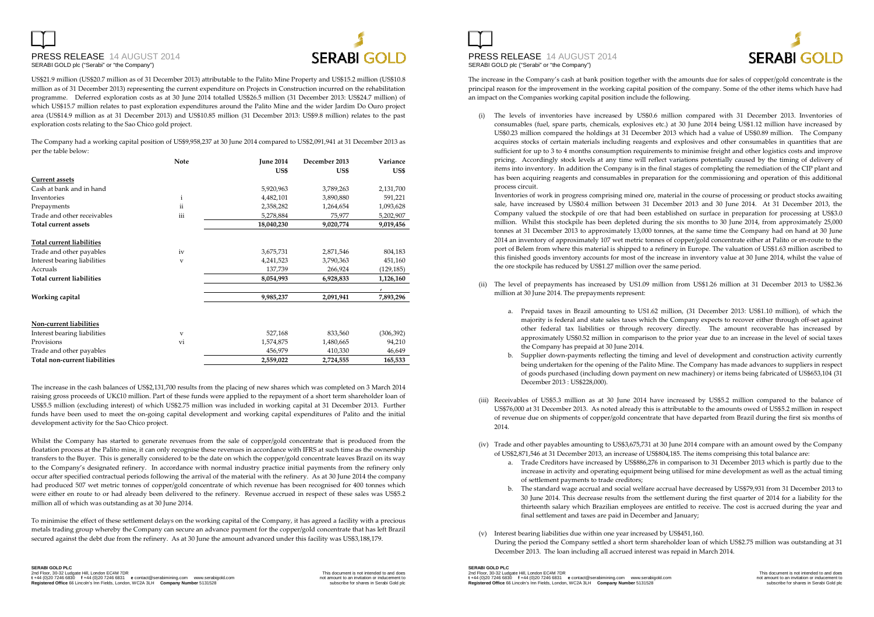# PRESS RELEASE 14 AUGUST 2014SERABI GOLD plc ("Serabi" or "the Company")



US\$21.9 million (US\$20.7 million as of 31 December 2013) attributable to the Palito Mine Property and US\$15.2 million (US\$10.8 million as of 31 December 2013) representing the current expenditure on Projects in Construction incurred on the rehabilitation programme. Deferred exploration costs as at 30 June 2014 totalled US\$26.5 million (31 December 2013: US\$24.7 million) of which US\$15.7 million relates to past exploration expenditures around the Palito Mine and the wider Jardim Do Ouro project area (US\$14.9 million as at 31 December 2013) and US\$10.85 million (31 December 2013: US\$9.8 million) relates to the past exploration costs relating to the Sao Chico gold project.

The Company had a working capital position of US\$9,958,237 at 30 June 2014 compared to US\$2,091,941 at 31 December 2013 as per the table below:

|                               | <b>Note</b>  | <b>June 2014</b> | December 2013 | Variance   |
|-------------------------------|--------------|------------------|---------------|------------|
|                               |              | US\$             | US\$          | US\$       |
| <b>Current assets</b>         |              |                  |               |            |
| Cash at bank and in hand      |              | 5,920,963        | 3,789,263     | 2,131,700  |
| Inventories                   | $\mathbf{i}$ | 4,482,101        | 3,890,880     | 591,221    |
| Prepayments                   | ii           | 2,358,282        | 1,264,654     | 1,093,628  |
| Trade and other receivables   | iii          | 5,278,884        | 75,977        | 5,202,907  |
| Total current assets          |              | 18,040,230       | 9,020,774     | 9,019,456  |
| Total current liabilities     |              |                  |               |            |
| Trade and other payables      | iv           | 3,675,731        | 2,871,546     | 804,183    |
| Interest bearing liabilities  | $\mathbf{V}$ | 4,241,523        | 3,790,363     | 451,160    |
| Accruals                      |              | 137,739          | 266,924       | (129, 185) |
| Total current liabilities     |              | 8,054,993        | 6,928,833     | 1,126,160  |
|                               |              |                  |               |            |
| Working capital               |              | 9,985,237        | 2,091,941     | 7,893,296  |
| Non-current liabilities       |              |                  |               |            |
| Interest bearing liabilities  | $\mathbf{V}$ | 527,168          | 833,560       | (306, 392) |
| Provisions                    | vi           | 1,574,875        | 1,480,665     | 94,210     |
| Trade and other payables      |              | 456,979          | 410,330       | 46,649     |
| Total non-current liabilities |              | 2,559,022        | 2,724,555     | 165,533    |

The increase in the cash balances of US\$2,131,700 results from the placing of new shares which was completed on 3 March 2014 raising gross proceeds of UK£10 million. Part of these funds were applied to the repayment of a short term shareholder loan of US\$5.5 million (excluding interest) of which US\$2.75 million was included in working capital at 31 December 2013. Further funds have been used to meet the on-going capital development and working capital expenditures of Palito and the initial development activity for the Sao Chico project.

Whilst the Company has started to generate revenues from the sale of copper/gold concentrate that is produced from the floatation process at the Palito mine, it can only recognise these revenues in accordance with IFRS at such time as the ownership transfers to the Buyer. This is generally considered to be the date on which the copper/gold concentrate leaves Brazil on its way to the Company's designated refinery. In accordance with normal industry practice initial payments from the refinery only occur after specified contractual periods following the arrival of the material with the refinery. As at 30 June 2014 the company had produced 507 wet metric tonnes of copper/gold concentrate of which revenue has been recognised for 400 tonnes which were either en route to or had already been delivered to the refinery. Revenue accrued in respect of these sales was US\$5.2 million all of which was outstanding as at 30 June 2014.

To minimise the effect of these settlement delays on the working capital of the Company, it has agreed a facility with a precious metals trading group whereby the Company can secure an advance payment for the copper/gold concentrate that has left Brazil secured against the debt due from the refinery. As at 30 June the amount advanced under this facility was US\$3,188,179.

PRESS RELEASE 14 AUGUST 2014 SERABI GOLD plc ("Serabi" or "the Company")



The increase in the Company's cash at bank position together with the amounts due for sales of copper/gold concentrate is the principal reason for the improvement in the working capital position of the company. Some of the other items which have had an impact on the Companies working capital position include the following.

(i) The levels of inventories have increased by US\$0.6 million compared with 31 December 2013. Inventories of consumables (fuel, spare parts, chemicals, explosives etc.) at 30 June 2014 being US\$1.12 million have increased by US\$0.23 million compared the holdings at 31 December 2013 which had a value of US\$0.89 million. The Company acquires stocks of certain materials including reagents and explosives and other consumables in quantities that are sufficient for up to 3 to 4 months consumption requirements to minimise freight and other logistics costs and improve pricing. Accordingly stock levels at any time will reflect variations potentially caused by the timing of delivery of items into inventory. In addition the Company is in the final stages of completing the remediation of the CIP plant and has been acquiring reagents and consumables in preparation for the commissioning and operation of this additional process circuit.

Inventories of work in progress comprising mined ore, material in the course of processing or product stocks awaiting sale, have increased by US\$0.4 million between 31 December 2013 and 30 June 2014. At 31 December 2013, the Company valued the stockpile of ore that had been established on surface in preparation for processing at US\$3.0 million. Whilst this stockpile has been depleted during the six months to 30 June 2014, from approximately 25,000 tonnes at 31 December 2013 to approximately 13,000 tonnes, at the same time the Company had on hand at 30 June 2014 an inventory of approximately 107 wet metric tonnes of copper/gold concentrate either at Palito or en-route to the port of Belem from where this material is shipped to a refinery in Europe. The valuation of US\$1.63 million ascribed to this finished goods inventory accounts for most of the increase in inventory value at 30 June 2014, whilst the value of the ore stockpile has reduced by US\$1.27 million over the same period.

- (ii) The level of prepayments has increased by US1.09 million from US\$1.26 million at 31 December 2013 to US\$2.36 million at 30 June 2014. The prepayments represent:
	- a. Prepaid taxes in Brazil amounting to US1.62 million, (31 December 2013: US\$1.10 million), of which the majority is federal and state sales taxes which the Company expects to recover either through off-set against other federal tax liabilities or through recovery directly. The amount recoverable has increased by approximately US\$0.52 million in comparison to the prior year due to an increase in the level of social taxes the Company has prepaid at 30 June 2014.
	- b. Supplier down-payments reflecting the timing and level of development and construction activity currently being undertaken for the opening of the Palito Mine. The Company has made advances to suppliers in respect of goods purchased (including down payment on new machinery) or items being fabricated of US\$653,104 (31 December 2013 : US\$228,000).
- (iii) Receivables of US\$5.3 million as at 30 June 2014 have increased by US\$5.2 million compared to the balance of US\$76,000 at 31 December 2013. As noted already this is attributable to the amounts owed of US\$5.2 million in respect of revenue due on shipments of copper/gold concentrate that have departed from Brazil during the first six months of 2014.
- (iv) Trade and other payables amounting to US\$3,675,731 at 30 June 2014 compare with an amount owed by the Company of US\$2,871,546 at 31 December 2013, an increase of US\$804,185. The items comprising this total balance are:
	- a. Trade Creditors have increased by US\$886,276 in comparison to 31 December 2013 which is partly due to the increase in activity and operating equipment being utilised for mine development as well as the actual timing of settlement payments to trade creditors;
	- b. The standard wage accrual and social welfare accrual have decreased by US\$79,931 from 31 December 2013 to 30 June 2014. This decrease results from the settlement during the first quarter of 2014 for a liability for the thirteenth salary which Brazilian employees are entitled to receive. The cost is accrued during the year and final settlement and taxes are paid in December and January;

#### (v) Interest bearing liabilities due within one year increased by US\$451,160.

During the period the Company settled a short term shareholder loan of which US\$2.75 million was outstanding at 31 December 2013. The loan including all accrued interest was repaid in March 2014.

### **SERABI GOLD PLC**

2nd Floor, 30-32 Ludgate Hill, London EC4M 7DR: This Man and does the Man and docs. This document is not intended to and does<br>t +44 (0)20 7246 6830 f +44 (0)20 7246 6831 e contact@serabimining.com www.serabigold.com **Registered Office** 66 Lincoln's Inn Fields, London, WC2A 3LH **Company Number** 5131528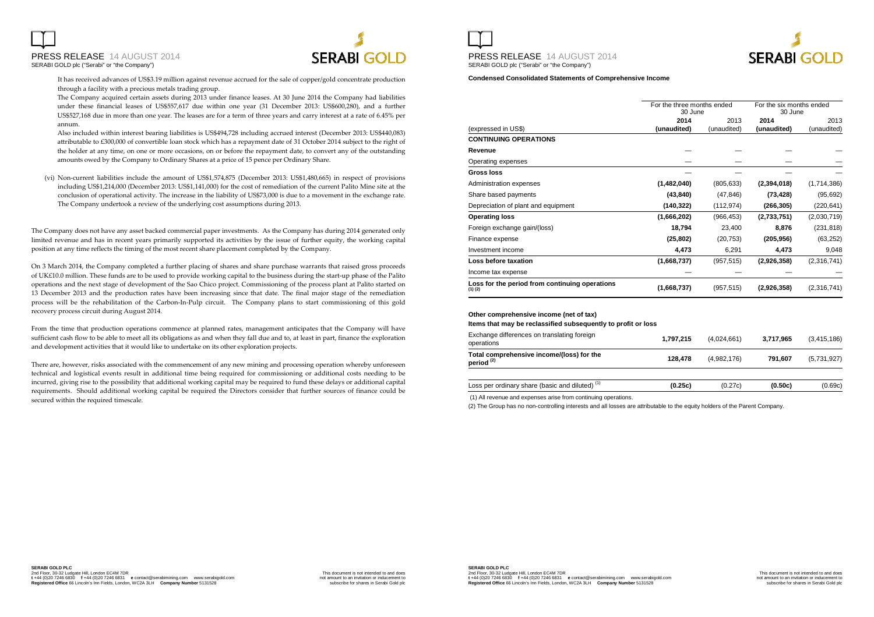

It has received advances of US\$3.19 million against revenue accrued for the sale of copper/gold concentrate production through a facility with a precious metals trading group.

The Company acquired certain assets during 2013 under finance leases. At 30 June 2014 the Company had liabilities under these financial leases of US\$557,617 due within one year (31 December 2013: US\$600,280), and a further US\$527,168 due in more than one year. The leases are for a term of three years and carry interest at a rate of 6.45% per annum.

 Also included within interest bearing liabilities is US\$494,728 including accrued interest (December 2013: US\$440,083) attributable to £300,000 of convertible loan stock which has a repayment date of 31 October 2014 subject to the right of the holder at any time, on one or more occasions, on or before the repayment date, to convert any of the outstanding amounts owed by the Company to Ordinary Shares at a price of 15 pence per Ordinary Share.

(vi) Non-current liabilities include the amount of US\$1,574,875 (December 2013: US\$1,480,665) in respect of provisions including US\$1,214,000 (December 2013: US\$1,141,000) for the cost of remediation of the current Palito Mine site at the conclusion of operational activity. The increase in the liability of US\$73,000 is due to a movement in the exchange rate. The Company undertook a review of the underlying cost assumptions during 2013.

The Company does not have any asset backed commercial paper investments. As the Company has during 2014 generated only limited revenue and has in recent years primarily supported its activities by the issue of further equity, the working capital position at any time reflects the timing of the most recent share placement completed by the Company.

On 3 March 2014, the Company completed a further placing of shares and share purchase warrants that raised gross proceeds of UK£10.0 million. These funds are to be used to provide working capital to the business during the start-up phase of the Palito operations and the next stage of development of the Sao Chico project. Commissioning of the process plant at Palito started on 13 December 2013 and the production rates have been increasing since that date. The final major stage of the remediation process will be the rehabilitation of the Carbon-In-Pulp circuit. The Company plans to start commissioning of this gold recovery process circuit during August 2014.

From the time that production operations commence at planned rates, management anticipates that the Company will have sufficient cash flow to be able to meet all its obligations as and when they fall due and to, at least in part, finance the exploration and development activities that it would like to undertake on its other exploration projects.

There are, however, risks associated with the commencement of any new mining and processing operation whereby unforeseen technical and logistical events result in additional time being required for commissioning or additional costs needing to be incurred, giving rise to the possibility that additional working capital may be required to fund these delays or additional capital requirements. Should additional working capital be required the Directors consider that further sources of finance could be secured within the required timescale.





**Condensed Consolidated Statements of Comprehensive Income** 

|                                                               |             | For the three months ended<br>30 June |             | For the six months ended<br>30 June |
|---------------------------------------------------------------|-------------|---------------------------------------|-------------|-------------------------------------|
|                                                               | 2014        | 2013                                  | 2014        | 2013                                |
| (expressed in US\$)                                           | (unaudited) | (unaudited)                           | (unaudited) | (unaudited)                         |
| <b>CONTINUING OPERATIONS</b>                                  |             |                                       |             |                                     |
| Revenue                                                       |             |                                       |             |                                     |
| Operating expenses                                            |             |                                       |             |                                     |
| Gross loss                                                    |             |                                       |             |                                     |
| Administration expenses                                       | (1,482,040) | (805, 633)                            | (2,394,018) | (1,714,386)                         |
| Share based payments                                          | (43, 840)   | (47, 846)                             | (73, 428)   | (95, 692)                           |
| Depreciation of plant and equipment                           | (140,322)   | (112, 974)                            | (266, 305)  | (220,641)                           |
| <b>Operating loss</b>                                         | (1,666,202) | (966, 453)                            | (2,733,751) | (2,030,719)                         |
| Foreign exchange gain/(loss)                                  | 18,794      | 23,400                                | 8,876       | (231, 818)                          |
| Finance expense                                               | (25, 802)   | (20, 753)                             | (205, 956)  | (63, 252)                           |
| Investment income                                             | 4,473       | 6,291                                 | 4,473       | 9,048                               |
| Loss before taxation                                          | (1,668,737) | (957, 515)                            | (2,926,358) | (2,316,741)                         |
| Income tax expense                                            |             |                                       |             |                                     |
| Loss for the period from continuing operations<br>$(1)$ $(2)$ | (1,668,737) | (957, 515)                            | (2,926,358) | (2,316,741)                         |

**Other comprehensive income (net of tax)** 

**Items that may be reclassified subsequently to profit or loss**

| Exchange differences on translating foreign<br>operations          | 1.797.215 | (4.024.661) | 3.717.965 | (3.415.186) |
|--------------------------------------------------------------------|-----------|-------------|-----------|-------------|
| Total comprehensive income/(loss) for the<br>period <sup>(2)</sup> | 128.478   | (4,982,176) | 791.607   | (5,731,927) |
| Loss per ordinary share (basic and diluted) <sup>(1)</sup>         | (0.25c)   | (0.27c)     | (0.50c)   | (0.69c)     |

(1) All revenue and expenses arise from continuing operations.

(2) The Group has no non-controlling interests and all losses are attributable to the equity holders of the Parent Company.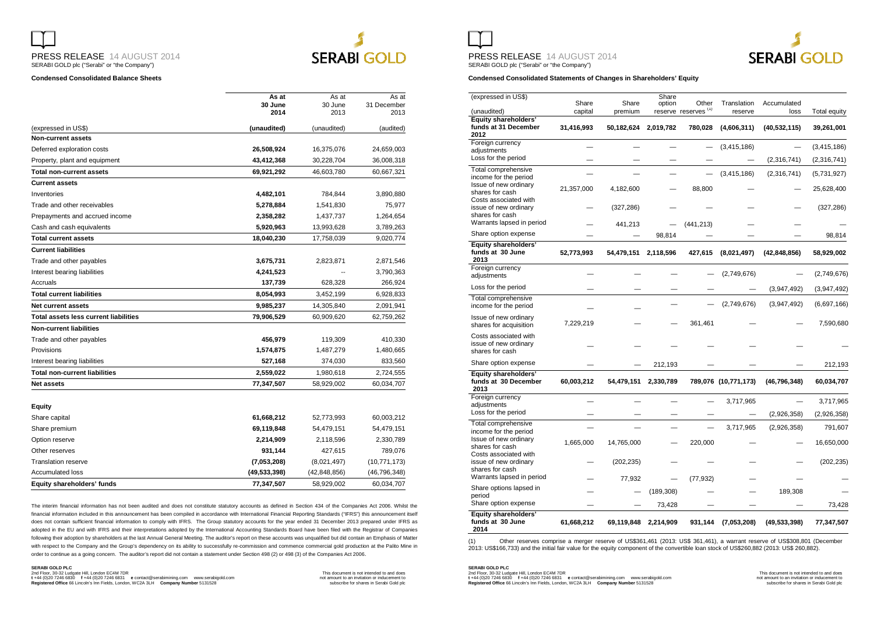

# **SERABI GOLD**

#### **Condensed Consolidated Balance Sheets**

|                                       | As at           | As at           | As at               |
|---------------------------------------|-----------------|-----------------|---------------------|
|                                       | 30 June<br>2014 | 30 June<br>2013 | 31 December<br>2013 |
|                                       |                 |                 |                     |
| (expressed in US\$)                   | (unaudited)     | (unaudited)     | (audited)           |
| <b>Non-current assets</b>             |                 |                 |                     |
| Deferred exploration costs            | 26,508,924      | 16,375,076      | 24,659,003          |
| Property, plant and equipment         | 43,412,368      | 30,228,704      | 36,008,318          |
| <b>Total non-current assets</b>       | 69,921,292      | 46.603.780      | 60,667,321          |
| <b>Current assets</b>                 |                 |                 |                     |
| Inventories                           | 4,482,101       | 784,844         | 3,890,880           |
| Trade and other receivables           | 5,278,884       | 1,541,830       | 75,977              |
| Prepayments and accrued income        | 2,358,282       | 1,437,737       | 1,264,654           |
| Cash and cash equivalents             | 5,920,963       | 13,993,628      | 3,789,263           |
| <b>Total current assets</b>           | 18,040,230      | 17,758,039      | 9,020,774           |
| <b>Current liabilities</b>            |                 |                 |                     |
| Trade and other payables              | 3,675,731       | 2,823,871       | 2,871,546           |
| Interest bearing liabilities          | 4,241,523       |                 | 3,790,363           |
| Accruals                              | 137,739         | 628,328         | 266,924             |
| <b>Total current liabilities</b>      | 8,054,993       | 3,452,199       | 6,928,833           |
| <b>Net current assets</b>             | 9,985,237       | 14,305,840      | 2,091,941           |
| Total assets less current liabilities | 79,906,529      | 60,909,620      | 62,759,262          |
| <b>Non-current liabilities</b>        |                 |                 |                     |
| Trade and other payables              | 456,979         | 119,309         | 410,330             |
| Provisions                            | 1,574,875       | 1,487,279       | 1,480,665           |
| Interest bearing liabilities          | 527,168         | 374,030         | 833,560             |
| <b>Total non-current liabilities</b>  | 2,559,022       | 1,980,618       | 2,724,555           |
| <b>Net assets</b>                     | 77,347,507      | 58,929,002      | 60,034,707          |
|                                       |                 |                 |                     |
| Equity                                |                 |                 |                     |
| Share capital                         | 61,668,212      | 52,773,993      | 60,003,212          |
| Share premium                         | 69,119,848      | 54,479,151      | 54,479,151          |
| Option reserve                        | 2,214,909       | 2,118,596       | 2,330,789           |
| Other reserves                        | 931,144         | 427,615         | 789,076             |
| <b>Translation reserve</b>            | (7,053,208)     | (8,021,497)     | (10, 771, 173)      |
| Accumulated loss                      | (49, 533, 398)  | (42, 848, 856)  | (46, 796, 348)      |
| Equity shareholders' funds            | 77,347,507      | 58,929,002      | 60,034,707          |

The interim financial information has not been audited and does not constitute statutory accounts as defined in Section 434 of the Companies Act 2006. Whilst the financial information included in this announcement has been compiled in accordance with International Financial Reporting Standards ("IFRS") this announcement itself does not contain sufficient financial information to comply with IFRS. The Group statutory accounts for the year ended 31 December 2013 prepared under IFRS as adopted in the EU and with IFRS and their interpretations adopted by the International Accounting Standards Board have been filed with the Registrar of Companies following their adoption by shareholders at the last Annual General Meeting. The auditor's report on these accounts was unqualified but did contain an Emphasis of Matter with respect to the Company and the Group's dependency on its ability to successfully re-commission and commence commercial gold production at the Palito Mine in order to continue as a going concern. The auditor's report did not contain a statement under Section 498 (2) or 498 (3) of the Companies Act 2006.

#### **SERABI GOLD PLC**

nd Floor, 30-32 Ludgate Hill, London EC4M 7DR و Contact Schedule and does (the Schedule and does on the Schedu<br>1 Heral (2012 1444 (2012 1724 6831) e Contact ® serabimining.com www.serabigold.com and the Schedule of the

PRESS RELEASE 14 AUGUST 2014



SERABI GOLD plc ("Serabi" or "the Company")

**Condensed Consolidated Statements of Changes in Shareholders' Equity** 

| (expressed in US\$)                                               |                  |                  | Share      |                                          |                        |                     |                     |
|-------------------------------------------------------------------|------------------|------------------|------------|------------------------------------------|------------------------|---------------------|---------------------|
| (unaudited)                                                       | Share<br>capital | Share<br>premium | option     | Other<br>reserve reserves <sup>(1)</sup> | Translation<br>reserve | Accumulated<br>loss | <b>Total equity</b> |
| <b>Equity shareholders'</b>                                       |                  |                  |            |                                          |                        |                     |                     |
| funds at 31 December<br>2012                                      | 31,416,993       | 50,182,624       | 2,019,782  | 780,028                                  | (4,606,311)            | (40, 532, 115)      | 39,261,001          |
| Foreign currency<br>adjustments                                   |                  |                  |            |                                          | (3, 415, 186)          |                     | (3, 415, 186)       |
| Loss for the period                                               |                  |                  |            |                                          |                        | (2,316,741)         | (2,316,741)         |
| Total comprehensive<br>income for the period                      |                  |                  |            |                                          | (3,415,186)            | (2,316,741)         | (5,731,927)         |
| Issue of new ordinary<br>shares for cash<br>Costs associated with | 21,357,000       | 4,182,600        |            | 88,800                                   |                        |                     | 25,628,400          |
| issue of new ordinarv<br>shares for cash                          |                  | (327, 286)       |            |                                          |                        |                     | (327, 286)          |
| Warrants lapsed in period                                         |                  | 441,213          |            | (441, 213)                               |                        |                     |                     |
| Share option expense                                              |                  |                  | 98,814     |                                          |                        |                     | 98,814              |
| Equity shareholders'<br>funds at 30 June<br>2013                  | 52,773,993       | 54,479,151       | 2,118,596  | 427,615                                  | (8,021,497)            | (42, 848, 856)      | 58,929,002          |
| Foreign currency<br>adjustments                                   |                  |                  |            |                                          | (2,749,676)            |                     | (2,749,676)         |
| Loss for the period                                               |                  |                  |            |                                          |                        | (3,947,492)         | (3,947,492)         |
| Total comprehensive<br>income for the period                      |                  |                  |            |                                          | (2,749,676)            | (3,947,492)         | (6,697,166)         |
| Issue of new ordinary<br>shares for acquisition                   | 7,229,219        |                  |            | 361,461                                  |                        |                     | 7,590,680           |
| Costs associated with<br>issue of new ordinary<br>shares for cash |                  |                  |            |                                          |                        |                     |                     |
| Share option expense                                              |                  |                  | 212,193    |                                          |                        |                     | 212,193             |
| Equity shareholders'<br>funds at 30 December<br>2013              | 60,003,212       | 54,479,151       | 2,330,789  |                                          | 789,076 (10,771,173)   | (46, 796, 348)      | 60,034,707          |
| Foreign currency<br>adjustments                                   |                  |                  |            |                                          | 3,717,965              |                     | 3,717,965           |
| Loss for the period                                               |                  |                  |            |                                          |                        | (2,926,358)         | (2,926,358)         |
| Total comprehensive<br>income for the period                      |                  |                  |            |                                          | 3,717,965              | (2,926,358)         | 791,607             |
| Issue of new ordinary<br>shares for cash<br>Costs associated with | 1,665,000        | 14,765,000       |            | 220,000                                  |                        |                     | 16,650,000          |
| issue of new ordinarv<br>shares for cash                          |                  | (202, 235)       |            |                                          |                        |                     | (202, 235)          |
| Warrants lapsed in period                                         |                  | 77,932           |            | (77, 932)                                |                        |                     |                     |
| Share options lapsed in<br>period                                 |                  |                  | (189, 308) |                                          |                        | 189,308             |                     |
| Share option expense                                              |                  |                  | 73,428     |                                          |                        |                     | 73,428              |
| <b>Equity shareholders'</b><br>funds at 30 June<br>2014           | 61,668,212       | 69,119,848       | 2,214,909  | 931,144                                  | (7,053,208)            | (49, 533, 398)      | 77,347,507          |

(1) Other reserves comprise a merger reserve of US\$361,461 (2013: US\$ 361,461), a warrant reserve of US\$308,801 (December<br>2013: US\$166,733) and the initial fair value for the equity component of the convertible loan sto

**SERABI GOLD PLC** 2nd Floor, 30-32 Ludgate Hill, London EC4M 7DR This document is not intended to and does **<sup>t</sup>** +44 (0)20 7246 6830 **f** +44 (0)20 7246 6831 **e** contact@serabimining.com www.serabigold.com not amount to an invitation or inducement to **Registered Office** 66 Lincoln's Inn Fields, London, WC2A 3LH **Company Number** 5131528 subscribe for shares in Serabi Gold plc

I